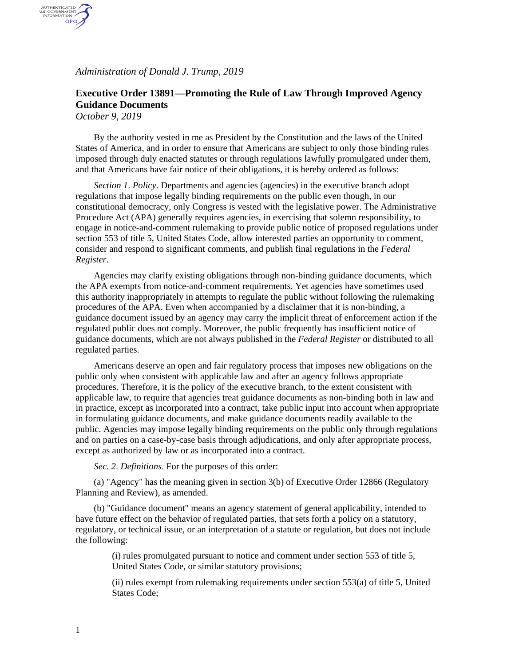*Administration of Donald J. Trump, 2019*

## **Executive Order 13891—Promoting the Rule of Law Through Improved Agency Guidance Documents**

*October 9, 2019*

AUTHENTICATED<br>U.S. GOVERNMENT<br>INFORMATION GPO

> By the authority vested in me as President by the Constitution and the laws of the United States of America, and in order to ensure that Americans are subject to only those binding rules imposed through duly enacted statutes or through regulations lawfully promulgated under them, and that Americans have fair notice of their obligations, it is hereby ordered as follows:

*Section 1*. *Policy*. Departments and agencies (agencies) in the executive branch adopt regulations that impose legally binding requirements on the public even though, in our constitutional democracy, only Congress is vested with the legislative power. The Administrative Procedure Act (APA) generally requires agencies, in exercising that solemn responsibility, to engage in notice-and-comment rulemaking to provide public notice of proposed regulations under section 553 of title 5, United States Code, allow interested parties an opportunity to comment, consider and respond to significant comments, and publish final regulations in the *Federal Register*.

Agencies may clarify existing obligations through non-binding guidance documents, which the APA exempts from notice-and-comment requirements. Yet agencies have sometimes used this authority inappropriately in attempts to regulate the public without following the rulemaking procedures of the APA. Even when accompanied by a disclaimer that it is non-binding, a guidance document issued by an agency may carry the implicit threat of enforcement action if the regulated public does not comply. Moreover, the public frequently has insufficient notice of guidance documents, which are not always published in the *Federal Register* or distributed to all regulated parties.

Americans deserve an open and fair regulatory process that imposes new obligations on the public only when consistent with applicable law and after an agency follows appropriate procedures. Therefore, it is the policy of the executive branch, to the extent consistent with applicable law, to require that agencies treat guidance documents as non-binding both in law and in practice, except as incorporated into a contract, take public input into account when appropriate in formulating guidance documents, and make guidance documents readily available to the public. Agencies may impose legally binding requirements on the public only through regulations and on parties on a case-by-case basis through adjudications, and only after appropriate process, except as authorized by law or as incorporated into a contract.

*Sec. 2*. *Definitions*. For the purposes of this order:

(a) "Agency" has the meaning given in section 3(b) of Executive Order 12866 (Regulatory Planning and Review), as amended.

(b) "Guidance document" means an agency statement of general applicability, intended to have future effect on the behavior of regulated parties, that sets forth a policy on a statutory, regulatory, or technical issue, or an interpretation of a statute or regulation, but does not include the following:

> (i) rules promulgated pursuant to notice and comment under section 553 of title 5, United States Code, or similar statutory provisions;

(ii) rules exempt from rulemaking requirements under section 553(a) of title 5, United States Code;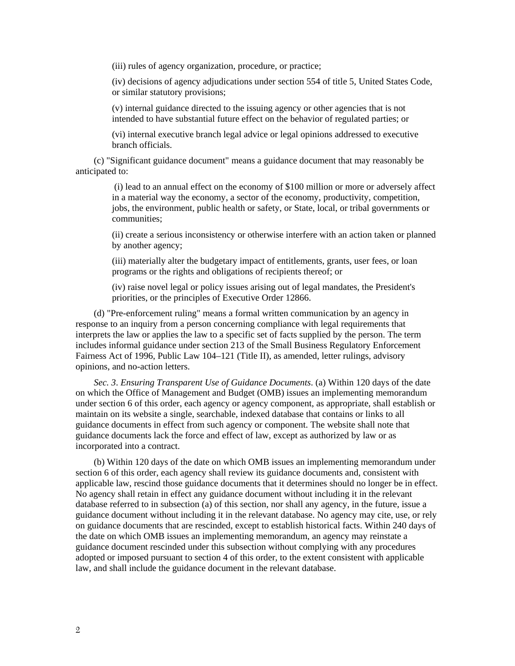(iii) rules of agency organization, procedure, or practice;

(iv) decisions of agency adjudications under section 554 of title 5, United States Code, or similar statutory provisions;

(v) internal guidance directed to the issuing agency or other agencies that is not intended to have substantial future effect on the behavior of regulated parties; or

(vi) internal executive branch legal advice or legal opinions addressed to executive branch officials.

(c) "Significant guidance document" means a guidance document that may reasonably be anticipated to:

> (i) lead to an annual effect on the economy of \$100 million or more or adversely affect in a material way the economy, a sector of the economy, productivity, competition, jobs, the environment, public health or safety, or State, local, or tribal governments or communities;

> (ii) create a serious inconsistency or otherwise interfere with an action taken or planned by another agency;

(iii) materially alter the budgetary impact of entitlements, grants, user fees, or loan programs or the rights and obligations of recipients thereof; or

(iv) raise novel legal or policy issues arising out of legal mandates, the President's priorities, or the principles of Executive Order 12866.

(d) "Pre-enforcement ruling" means a formal written communication by an agency in response to an inquiry from a person concerning compliance with legal requirements that interprets the law or applies the law to a specific set of facts supplied by the person. The term includes informal guidance under section 213 of the Small Business Regulatory Enforcement Fairness Act of 1996, Public Law 104–121 (Title II), as amended, letter rulings, advisory opinions, and no-action letters.

*Sec. 3*. *Ensuring Transparent Use of Guidance Documents*. (a) Within 120 days of the date on which the Office of Management and Budget (OMB) issues an implementing memorandum under section 6 of this order, each agency or agency component, as appropriate, shall establish or maintain on its website a single, searchable, indexed database that contains or links to all guidance documents in effect from such agency or component. The website shall note that guidance documents lack the force and effect of law, except as authorized by law or as incorporated into a contract.

(b) Within 120 days of the date on which OMB issues an implementing memorandum under section 6 of this order, each agency shall review its guidance documents and, consistent with applicable law, rescind those guidance documents that it determines should no longer be in effect. No agency shall retain in effect any guidance document without including it in the relevant database referred to in subsection (a) of this section, nor shall any agency, in the future, issue a guidance document without including it in the relevant database. No agency may cite, use, or rely on guidance documents that are rescinded, except to establish historical facts. Within 240 days of the date on which OMB issues an implementing memorandum, an agency may reinstate a guidance document rescinded under this subsection without complying with any procedures adopted or imposed pursuant to section 4 of this order, to the extent consistent with applicable law, and shall include the guidance document in the relevant database.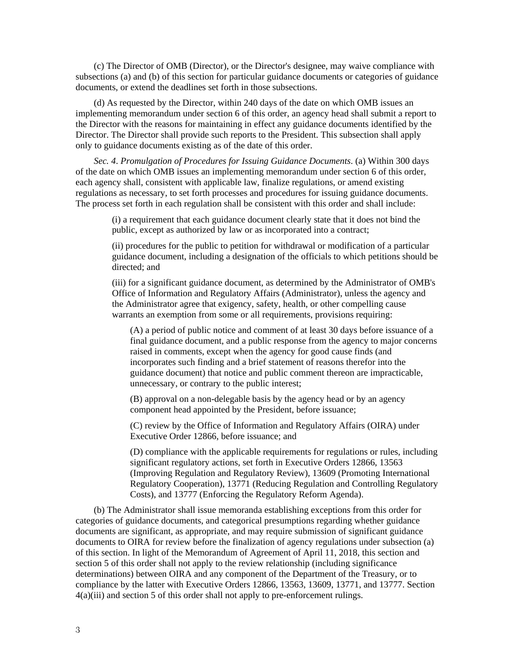(c) The Director of OMB (Director), or the Director's designee, may waive compliance with subsections (a) and (b) of this section for particular guidance documents or categories of guidance documents, or extend the deadlines set forth in those subsections.

(d) As requested by the Director, within 240 days of the date on which OMB issues an implementing memorandum under section 6 of this order, an agency head shall submit a report to the Director with the reasons for maintaining in effect any guidance documents identified by the Director. The Director shall provide such reports to the President. This subsection shall apply only to guidance documents existing as of the date of this order.

*Sec. 4*. *Promulgation of Procedures for Issuing Guidance Documents*. (a) Within 300 days of the date on which OMB issues an implementing memorandum under section 6 of this order, each agency shall, consistent with applicable law, finalize regulations, or amend existing regulations as necessary, to set forth processes and procedures for issuing guidance documents. The process set forth in each regulation shall be consistent with this order and shall include:

> (i) a requirement that each guidance document clearly state that it does not bind the public, except as authorized by law or as incorporated into a contract;

(ii) procedures for the public to petition for withdrawal or modification of a particular guidance document, including a designation of the officials to which petitions should be directed; and

(iii) for a significant guidance document, as determined by the Administrator of OMB's Office of Information and Regulatory Affairs (Administrator), unless the agency and the Administrator agree that exigency, safety, health, or other compelling cause warrants an exemption from some or all requirements, provisions requiring:

(A) a period of public notice and comment of at least 30 days before issuance of a final guidance document, and a public response from the agency to major concerns raised in comments, except when the agency for good cause finds (and incorporates such finding and a brief statement of reasons therefor into the guidance document) that notice and public comment thereon are impracticable, unnecessary, or contrary to the public interest;

(B) approval on a non-delegable basis by the agency head or by an agency component head appointed by the President, before issuance;

(C) review by the Office of Information and Regulatory Affairs (OIRA) under Executive Order 12866, before issuance; and

(D) compliance with the applicable requirements for regulations or rules, including significant regulatory actions, set forth in Executive Orders 12866, 13563 (Improving Regulation and Regulatory Review), 13609 (Promoting International Regulatory Cooperation), 13771 (Reducing Regulation and Controlling Regulatory Costs), and 13777 (Enforcing the Regulatory Reform Agenda).

(b) The Administrator shall issue memoranda establishing exceptions from this order for categories of guidance documents, and categorical presumptions regarding whether guidance documents are significant, as appropriate, and may require submission of significant guidance documents to OIRA for review before the finalization of agency regulations under subsection (a) of this section. In light of the Memorandum of Agreement of April 11, 2018, this section and section 5 of this order shall not apply to the review relationship (including significance determinations) between OIRA and any component of the Department of the Treasury, or to compliance by the latter with Executive Orders 12866, 13563, 13609, 13771, and 13777. Section 4(a)(iii) and section 5 of this order shall not apply to pre-enforcement rulings.